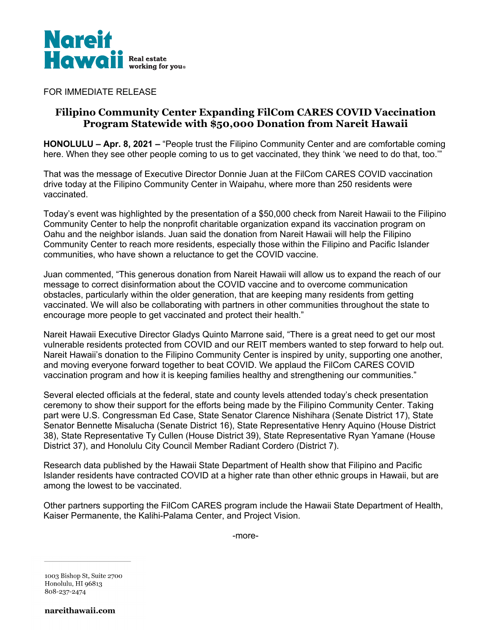

FOR IMMEDIATE RELEASE

## **Filipino Community Center Expanding FilCom CARES COVID Vaccination Program Statewide with \$50,000 Donation from Nareit Hawaii**

**HONOLULU – Apr. 8, 2021 –** "People trust the Filipino Community Center and are comfortable coming here. When they see other people coming to us to get vaccinated, they think 'we need to do that, too.'"

That was the message of Executive Director Donnie Juan at the FilCom CARES COVID vaccination drive today at the Filipino Community Center in Waipahu, where more than 250 residents were vaccinated.

Today's event was highlighted by the presentation of a \$50,000 check from Nareit Hawaii to the Filipino Community Center to help the nonprofit charitable organization expand its vaccination program on Oahu and the neighbor islands. Juan said the donation from Nareit Hawaii will help the Filipino Community Center to reach more residents, especially those within the Filipino and Pacific Islander communities, who have shown a reluctance to get the COVID vaccine.

Juan commented, "This generous donation from Nareit Hawaii will allow us to expand the reach of our message to correct disinformation about the COVID vaccine and to overcome communication obstacles, particularly within the older generation, that are keeping many residents from getting vaccinated. We will also be collaborating with partners in other communities throughout the state to encourage more people to get vaccinated and protect their health."

Nareit Hawaii Executive Director Gladys Quinto Marrone said, "There is a great need to get our most vulnerable residents protected from COVID and our REIT members wanted to step forward to help out. Nareit Hawaii's donation to the Filipino Community Center is inspired by unity, supporting one another, and moving everyone forward together to beat COVID. We applaud the FilCom CARES COVID vaccination program and how it is keeping families healthy and strengthening our communities."

Several elected officials at the federal, state and county levels attended today's check presentation ceremony to show their support for the efforts being made by the Filipino Community Center. Taking part were U.S. Congressman Ed Case, State Senator Clarence Nishihara (Senate District 17), State Senator Bennette Misalucha (Senate District 16), State Representative Henry Aquino (House District 38), State Representative Ty Cullen (House District 39), State Representative Ryan Yamane (House District 37), and Honolulu City Council Member Radiant Cordero (District 7).

Research data published by the Hawaii State Department of Health show that Filipino and Pacific Islander residents have contracted COVID at a higher rate than other ethnic groups in Hawaii, but are among the lowest to be vaccinated.

Other partners supporting the FilCom CARES program include the Hawaii State Department of Health, Kaiser Permanente, the Kalihi-Palama Center, and Project Vision.

-more-

1003 Bishop St, Suite 2700 Honolulu, HI 96813 808-237-2474